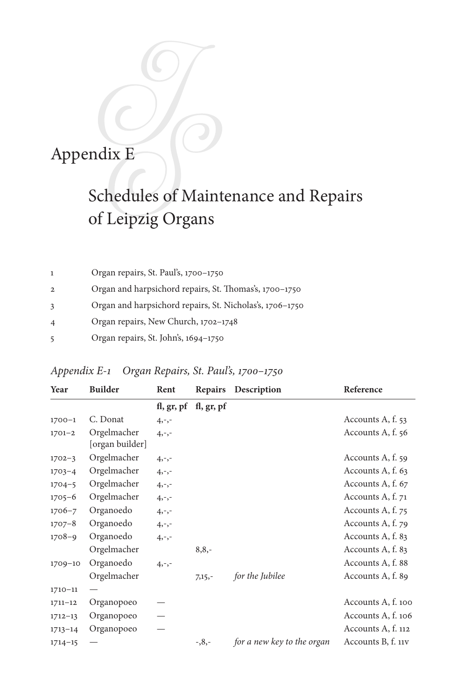## Appendix E

## Schedules of Maintenance and Repairs of Leipzig Organs

|                | Organ repairs, St. Paul's, 1700–1750                     |
|----------------|----------------------------------------------------------|
| $\overline{2}$ | Organ and harpsichord repairs, St. Thomas's, 1700–1750   |
|                | Organ and harpsichord repairs, St. Nicholas's, 1706-1750 |
| $\overline{4}$ | Organ repairs, New Church, 1702-1748                     |
|                | Organ repairs, St. John's, 1694-1750                     |

## *Appendix E-1 Organ Repairs, St. Paul's, 1700–1750*

| Year        | <b>Builder</b>                 | Rent     | <b>Repairs</b>        | Description                | Reference          |
|-------------|--------------------------------|----------|-----------------------|----------------------------|--------------------|
|             |                                |          | fl, gr, pf fl, gr, pf |                            |                    |
| $1700 - 1$  | C. Donat                       | $4, -,-$ |                       |                            | Accounts A, f. 53  |
| $1701 - 2$  | Orgelmacher<br>[organ builder] | $4, -,-$ |                       |                            | Accounts A, f. 56  |
| $1702 - 3$  | Orgelmacher                    | $4, -,-$ |                       |                            | Accounts A, f. 59  |
| $1703 - 4$  | Orgelmacher                    | $4, -,-$ |                       |                            | Accounts A, f. 63  |
| $1704 - 5$  | Orgelmacher                    | $4, -,-$ |                       |                            | Accounts A, f. 67  |
| $1705 - 6$  | Orgelmacher                    | $4, -,-$ |                       |                            | Accounts A, f. 71  |
| $1706 - 7$  | Organoedo                      | $4, -,-$ |                       |                            | Accounts A, f. 75  |
| $1707 - 8$  | Organoedo                      | $4, -,-$ |                       |                            | Accounts A, f. 79  |
| $1708 - 9$  | Organoedo                      | $4, -,-$ |                       |                            | Accounts A, f. 83  |
|             | Orgelmacher                    |          | $8,8,-$               |                            | Accounts A, f. 83  |
| $1709 - 10$ | Organoedo                      | $4, -,-$ |                       |                            | Accounts A, f. 88  |
|             | Orgelmacher                    |          | $7,15,-$              | for the Jubilee            | Accounts A, f. 89  |
| $1710 - 11$ |                                |          |                       |                            |                    |
| $1711 - 12$ | Organopoeo                     |          |                       |                            | Accounts A, f. 100 |
| $1712 - 13$ | Organopoeo                     |          |                       |                            | Accounts A, f. 106 |
| $1713 - 14$ | Organopoeo                     |          |                       |                            | Accounts A, f. 112 |
| $1714 - 15$ |                                |          | $-0.8 -$              | for a new key to the organ | Accounts B, f. 11V |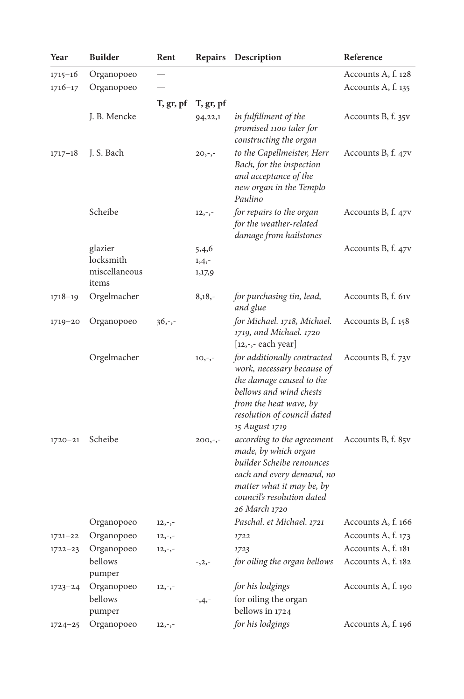| Year        | <b>Builder</b>         | Rent      | Repairs                   | Description                                                                                                                                                                                 | Reference          |
|-------------|------------------------|-----------|---------------------------|---------------------------------------------------------------------------------------------------------------------------------------------------------------------------------------------|--------------------|
| $1715 - 16$ | Organopoeo             |           |                           |                                                                                                                                                                                             | Accounts A, f. 128 |
| $1716 - 17$ | Organopoeo             |           |                           |                                                                                                                                                                                             | Accounts A, f. 135 |
|             |                        |           | $T$ , gr, pf $T$ , gr, pf |                                                                                                                                                                                             |                    |
|             | J. B. Mencke           |           | 94,22,1                   | in fulfillment of the<br>promised 1100 taler for<br>constructing the organ                                                                                                                  | Accounts B, f. 35v |
| $1717 - 18$ | J. S. Bach             |           | $20, -,-$                 | to the Capellmeister, Herr<br>Bach, for the inspection<br>and acceptance of the<br>new organ in the Templo<br>Paulino                                                                       | Accounts B, f. 47v |
|             | Scheibe                |           | $12, -,-$                 | for repairs to the organ<br>for the weather-related<br>damage from hailstones                                                                                                               | Accounts B, f. 47v |
|             | glazier                |           | 5,4,6                     |                                                                                                                                                                                             | Accounts B, f. 47v |
|             | locksmith              |           | $1,4,-$                   |                                                                                                                                                                                             |                    |
|             | miscellaneous<br>items |           | 1,17,9                    |                                                                                                                                                                                             |                    |
| $1718 - 19$ | Orgelmacher            |           | $8,18,-$                  | for purchasing tin, lead,<br>and glue                                                                                                                                                       | Accounts B, f. 61v |
| $1719 - 20$ | Organopoeo             | $36, -,-$ |                           | for Michael. 1718, Michael.<br>1719, and Michael. 1720<br>$[12, -,-$ each year]                                                                                                             | Accounts B, f. 158 |
|             | Orgelmacher            |           | $10, -,-$                 | for additionally contracted<br>work, necessary because of<br>the damage caused to the<br>bellows and wind chests<br>from the heat wave, by<br>resolution of council dated<br>15 August 1719 | Accounts B, f. 73v |
| $1720 - 21$ | Scheibe                |           | $200,-,-$                 | according to the agreement<br>made, by which organ<br>builder Scheibe renounces<br>each and every demand, no<br>matter what it may be, by<br>council's resolution dated<br>26 March 1720    | Accounts B, f. 85v |
|             | Organopoeo             | $12, -,-$ |                           | Paschal. et Michael. 1721 Accounts A, f. 166                                                                                                                                                |                    |
| $1721 - 22$ | Organopoeo             | $12, -,-$ |                           | 1722                                                                                                                                                                                        | Accounts A, f. 173 |
| $1722 - 23$ | Organopoeo             | $12,-,-$  |                           | 1723                                                                                                                                                                                        | Accounts A, f. 181 |
|             | bellows<br>pumper      |           | $^{-1}$ , 2, -            | for oiling the organ bellows                                                                                                                                                                | Accounts A, f. 182 |
| $1723 - 24$ | Organopoeo             | $12,-,-$  |                           | for his lodgings                                                                                                                                                                            | Accounts A, f. 190 |
|             | bellows<br>pumper      |           | $-3,4,-$                  | for oiling the organ<br>bellows in 1724                                                                                                                                                     |                    |
| $1724 - 25$ | Organopoeo             | $12,-,-$  |                           | for his lodgings                                                                                                                                                                            | Accounts A, f. 196 |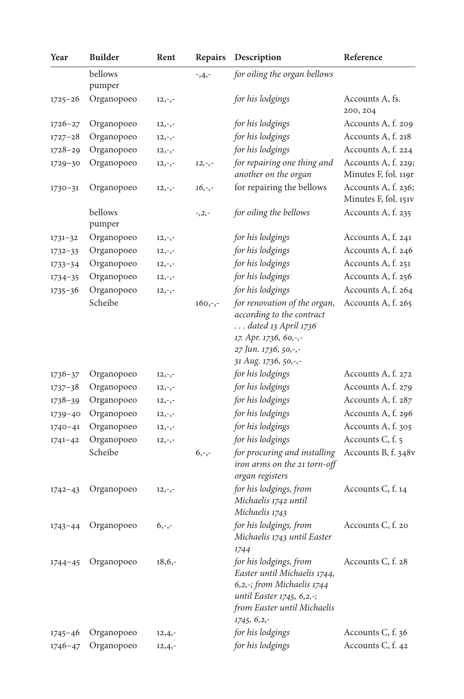| Year        | <b>Builder</b>    | Rent      | Repairs   | Description                                                                                                                                                                 | Reference                   |
|-------------|-------------------|-----------|-----------|-----------------------------------------------------------------------------------------------------------------------------------------------------------------------------|-----------------------------|
|             | bellows<br>pumper |           | $-3,4,-$  | for oiling the organ bellows                                                                                                                                                |                             |
| $1725 - 26$ | Organopoeo        | $12, -,-$ |           | for his lodgings                                                                                                                                                            | Accounts A, fs.<br>200, 204 |
| $1726 - 27$ | Organopoeo        | $12, -,-$ |           | for his lodgings                                                                                                                                                            | Accounts A, f. 209          |
| $1727 - 28$ | Organopoeo        | $12,-,-$  |           | for his lodgings                                                                                                                                                            | Accounts A, f. 218          |
| $1728 - 29$ | Organopoeo        | $12, -,-$ |           | for his lodgings                                                                                                                                                            | Accounts A, f. 224          |
| 1729-30     | Organopoeo        | $12,-,-$  | $12, -,-$ | for repairing one thing and                                                                                                                                                 | Accounts A, f. 229;         |
|             |                   |           |           | another on the organ                                                                                                                                                        | Minutes F, fol. 119r        |
| $1730 - 31$ | Organopoeo        | $12, -,-$ | $16, -,-$ | for repairing the bellows                                                                                                                                                   | Accounts A, f. 236;         |
|             |                   |           |           |                                                                                                                                                                             | Minutes F, fol. 151v        |
|             | bellows<br>pumper |           | $-2, -$   | for oiling the bellows                                                                                                                                                      | Accounts A, f. 235          |
| $1731 - 32$ | Organopoeo        | $12, -,-$ |           | for his lodgings                                                                                                                                                            | Accounts A, f. 241          |
| $1732 - 33$ | Organopoeo        | $12,-,-$  |           | for his lodgings                                                                                                                                                            | Accounts A, f. 246          |
| $1733 - 34$ | Organopoeo        | $12, -,-$ |           | for his lodgings                                                                                                                                                            | Accounts A, f. 251          |
| $1734 - 35$ | Organopoeo        | $12, -,-$ |           | for his lodgings                                                                                                                                                            | Accounts A, f. 256          |
| $1735 - 36$ | Organopoeo        | $12, -,-$ |           | for his lodgings                                                                                                                                                            | Accounts A, f. 264          |
|             | Scheibe           |           | $160,-,-$ | for renovation of the organ,<br>according to the contract<br>$\ldots$ dated 13 April 1736<br>17. Apr. 1736, 60,-,-<br>27 Jun. 1736, 50,-,-                                  | Accounts A, f. 265          |
|             |                   |           |           | 31 Aug. 1736, 50,-,-                                                                                                                                                        |                             |
| $1736 - 37$ | Organopoeo        | $12, -,-$ |           | for his lodgings                                                                                                                                                            | Accounts A, f. 272          |
| $1737 - 38$ | Organopoeo        | $12,-,-$  |           | for his lodgings                                                                                                                                                            | Accounts A, f. 279          |
| $1738 - 39$ | Organopoeo        | $12, -,-$ |           | for his lodgings                                                                                                                                                            | Accounts A, f. 287          |
| $1739 - 40$ | Organopoeo        | $12, -,-$ |           | for his lodgings                                                                                                                                                            | Accounts A, f. 296          |
| $1740 - 41$ | Organopoeo        | $12,-,-$  |           | for his lodgings                                                                                                                                                            | Accounts A, f. 305          |
| $1741 - 42$ | Organopoeo        | $12, -,-$ |           | for his lodgings                                                                                                                                                            | Accounts C, f. 5            |
|             | Scheibe           |           | $6, -,-$  | for procuring and installing<br>iron arms on the 21 torn-off<br>organ registers                                                                                             | Accounts B, f. 348v         |
| $1742 - 43$ | Organopoeo        | $12,-,-$  |           | for his lodgings, from<br>Michaelis 1742 until<br>Michaelis 1743                                                                                                            | Accounts C, f. 14           |
| $1743 - 44$ | Organopoeo        | $6, -,-$  |           | for his lodgings, from<br>Michaelis 1743 until Easter                                                                                                                       | Accounts C, f. 20           |
| $1744 - 45$ | Organopoeo        | $18,6,-$  |           | 1744<br>for his lodgings, from<br>Easter until Michaelis 1744,<br>6,2,-; from Michaelis 1744<br>until Easter 1745, 6,2,-;<br>from Easter until Michaelis<br>$1745, 6, 2, -$ | Accounts C, f. 28           |
| $1745 - 46$ | Organopoeo        | $12,4,-$  |           | for his lodgings                                                                                                                                                            | Accounts C, f. 36           |
| $1746 - 47$ | Organopoeo        | $12,4,-$  |           | for his lodgings                                                                                                                                                            | Accounts C, f. 42           |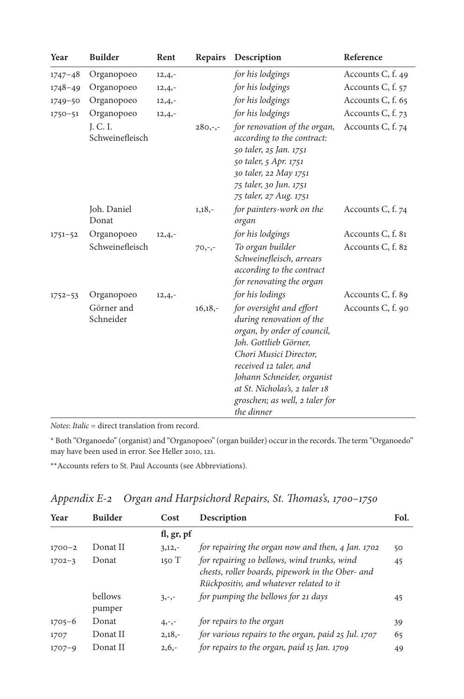| Year        | <b>Builder</b>              | Rent     | <b>Repairs</b> | Description                                                                                                                                                                                                                                                                     | Reference         |
|-------------|-----------------------------|----------|----------------|---------------------------------------------------------------------------------------------------------------------------------------------------------------------------------------------------------------------------------------------------------------------------------|-------------------|
| $1747 - 48$ | Organopoeo                  | $12,4,-$ |                | for his lodgings                                                                                                                                                                                                                                                                | Accounts C, f. 49 |
| $1748 - 49$ | Organopoeo                  | $12,4,-$ |                | for his lodgings                                                                                                                                                                                                                                                                | Accounts C, f. 57 |
| $1749 - 50$ | Organopoeo                  | $12,4,-$ |                | for his lodgings                                                                                                                                                                                                                                                                | Accounts C, f. 65 |
| $1750 - 51$ | Organopoeo                  | $12,4,-$ |                | for his lodgings                                                                                                                                                                                                                                                                | Accounts C, f. 73 |
|             | J. C. I.<br>Schweinefleisch |          | $280,-,-$      | for renovation of the organ,<br>according to the contract:<br>50 taler, 25 Jan. 1751<br>50 taler, 5 Apr. 1751<br>30 taler, 22 May 1751<br>75 taler, 30 Jun. 1751<br>75 taler, 27 Aug. 1751                                                                                      | Accounts C, f. 74 |
|             | Joh. Daniel<br>Donat        |          | $1,18,-$       | for painters-work on the<br>organ                                                                                                                                                                                                                                               | Accounts C, f. 74 |
| $1751 - 52$ | Organopoeo                  | $12,4,-$ |                | for his lodgings                                                                                                                                                                                                                                                                | Accounts C, f. 81 |
|             | Schweinefleisch             |          | $70,-,-$       | To organ builder<br>Schweinefleisch, arrears<br>according to the contract<br>for renovating the organ                                                                                                                                                                           | Accounts C, f. 82 |
| $1752 - 53$ | Organopoeo                  | $12,4,-$ |                | for his lodings                                                                                                                                                                                                                                                                 | Accounts C, f. 89 |
|             | Görner and<br>Schneider     |          | $16,18,-$      | for oversight and effort<br>during renovation of the<br>organ, by order of council,<br>Joh. Gottlieb Görner,<br>Chori Musici Director,<br>received 12 taler, and<br>Johann Schneider, organist<br>at St. Nicholas's, 2 taler 18<br>groschen; as well, 2 taler for<br>the dinner | Accounts C, f. 90 |

*Notes*: *Italic* = direct translation from record.

\* Both "Organoedo" (organist) and "Organopoeo" (organ builder) occur in the records. The term "Organoedo" may have been used in error. See Heller 2010, 121.

\*\*Accounts refers to St. Paul Accounts (see Abbreviations).

|  |  | Appendix E-2 Organ and Harpsichord Repairs, St. Thomas's, 1700–1750 |  |  |  |  |
|--|--|---------------------------------------------------------------------|--|--|--|--|
|--|--|---------------------------------------------------------------------|--|--|--|--|

| Year       | <b>Builder</b>    | Cost       | Description                                                                                                                                | Fol. |
|------------|-------------------|------------|--------------------------------------------------------------------------------------------------------------------------------------------|------|
|            |                   | fl, gr, pf |                                                                                                                                            |      |
| $1700 - 2$ | Donat II          | $3,12,-$   | for repairing the organ now and then, 4 Jan. 1702                                                                                          | 50   |
| $1702 - 3$ | Donat             | 150T       | for repairing 10 bellows, wind trunks, wind<br>chests, roller boards, pipework in the Ober- and<br>Rückpositiv, and whatever related to it | 45   |
|            | bellows<br>pumper | $3, -,-$   | for pumping the bellows for 21 days                                                                                                        | 45   |
| $1705 - 6$ | Donat             | $4, -,-$   | for repairs to the organ                                                                                                                   | 39   |
| 1707       | Donat II          | $2,18,-$   | for various repairs to the organ, paid 25 Jul. 1707                                                                                        | 65   |
| $1707 - 9$ | Donat II          | $2,6,-$    | for repairs to the organ, paid 15 Jan. 1709                                                                                                | 49   |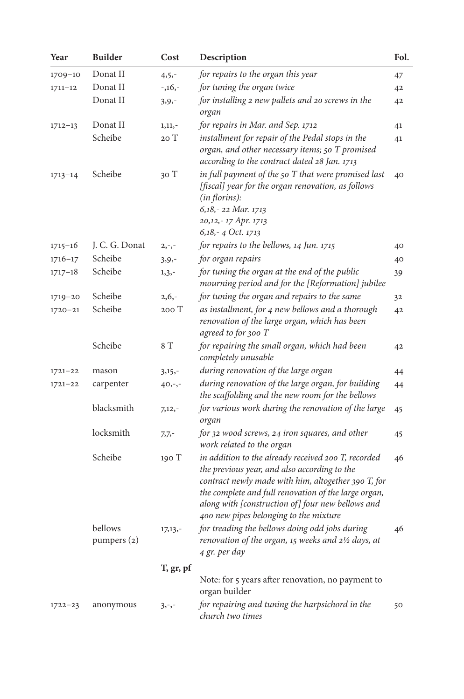| Year        | <b>Builder</b>         | Cost      | Description                                                                                                                                                                                                                                                                                                       | Fol. |
|-------------|------------------------|-----------|-------------------------------------------------------------------------------------------------------------------------------------------------------------------------------------------------------------------------------------------------------------------------------------------------------------------|------|
| 1709-10     | Donat II               | $4, 5, -$ | for repairs to the organ this year                                                                                                                                                                                                                                                                                | 47   |
| $1711 - 12$ | Donat II               | $-1,16,-$ | for tuning the organ twice                                                                                                                                                                                                                                                                                        | 42   |
|             | Donat II               | $3, 9, -$ | for installing 2 new pallets and 20 screws in the<br>organ                                                                                                                                                                                                                                                        | 42   |
| $1712 - 13$ | Donat II               | $1,11,-$  | for repairs in Mar. and Sep. 1712                                                                                                                                                                                                                                                                                 | 41   |
|             | Scheibe                | 20T       | installment for repair of the Pedal stops in the<br>organ, and other necessary items; 50 T promised<br>according to the contract dated 28 Jan. 1713                                                                                                                                                               | 41   |
| $1713 - 14$ | Scheibe                | 30T       | in full payment of the 50 T that were promised last<br>[fiscal] year for the organ renovation, as follows<br>(in florins):<br>6,18,-22 Mar. 1713<br>20,12,-17 Apr. 1713<br>6,18,-4 Oct. 1713                                                                                                                      | 40   |
| $1715 - 16$ | J. C. G. Donat         | $2, -,-$  | for repairs to the bellows, 14 Jun. 1715                                                                                                                                                                                                                                                                          | 40   |
| $1716 - 17$ | Scheibe                | $3, 9, -$ | for organ repairs                                                                                                                                                                                                                                                                                                 | 40   |
| $1717 - 18$ | Scheibe                | $1, 3, -$ | for tuning the organ at the end of the public<br>mourning period and for the [Reformation] jubilee                                                                                                                                                                                                                | 39   |
| 1719-20     | Scheibe                | $2,6,-$   | for tuning the organ and repairs to the same                                                                                                                                                                                                                                                                      | 32   |
| $1720 - 21$ | Scheibe                | 200 T     | as installment, for 4 new bellows and a thorough<br>renovation of the large organ, which has been<br>agreed to for 300 T                                                                                                                                                                                          | 42   |
|             | Scheibe                | 8 T       | for repairing the small organ, which had been<br>completely unusable                                                                                                                                                                                                                                              | 42   |
| $1721 - 22$ | mason                  | $3,15,-$  | during renovation of the large organ                                                                                                                                                                                                                                                                              | 44   |
| $1721 - 22$ | carpenter              | $40, -,-$ | during renovation of the large organ, for building<br>the scaffolding and the new room for the bellows                                                                                                                                                                                                            | 44   |
|             | blacksmith             | $7,12,-$  | for various work during the renovation of the large<br>organ                                                                                                                                                                                                                                                      | 45   |
|             | locksmith              | $7,7,-$   | for 32 wood screws, 24 iron squares, and other<br>work related to the organ                                                                                                                                                                                                                                       | 45   |
|             | Scheibe                | 190 T     | in addition to the already received 200 T, recorded<br>the previous year, and also according to the<br>contract newly made with him, altogether 390 T, for<br>the complete and full renovation of the large organ,<br>along with [construction of] four new bellows and<br>400 new pipes belonging to the mixture | 46   |
|             | bellows<br>pumpers (2) | $17,13,-$ | for treading the bellows doing odd jobs during<br>renovation of the organ, 15 weeks and 21/2 days, at<br>4 gr. per day                                                                                                                                                                                            | 46   |
|             |                        | T, gr, pf | Note: for 5 years after renovation, no payment to<br>organ builder                                                                                                                                                                                                                                                |      |
| $1722 - 23$ | anonymous              | $3, -,-$  | for repairing and tuning the harpsichord in the<br>church two times                                                                                                                                                                                                                                               | 50   |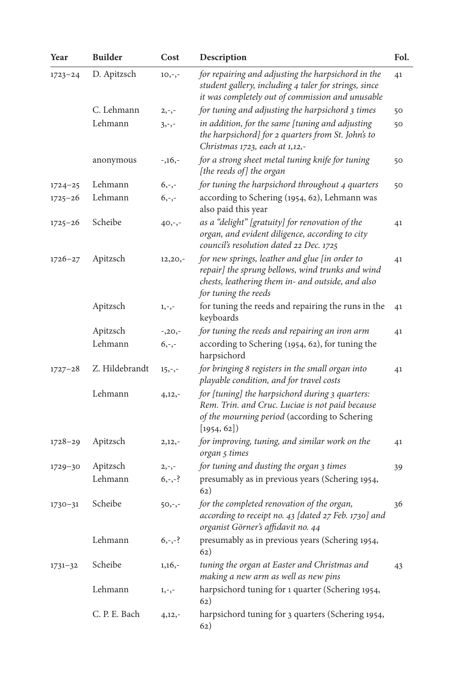| Year        | <b>Builder</b> | Cost      | Description                                                                                                                                                                     | Fol. |
|-------------|----------------|-----------|---------------------------------------------------------------------------------------------------------------------------------------------------------------------------------|------|
| $1723 - 24$ | D. Apitzsch    | $10, -,-$ | for repairing and adjusting the harpsichord in the<br>student gallery, including 4 taler for strings, since<br>it was completely out of commission and unusable                 | 41   |
|             | C. Lehmann     | $2, -,-$  | for tuning and adjusting the harpsichord 3 times                                                                                                                                | 50   |
|             | Lehmann        | $3, -,-$  | in addition, for the same [tuning and adjusting<br>the harpsichord] for 2 quarters from St. John's to<br>Christmas 1723, each at 1,12,-                                         | 50   |
|             | anonymous      | $-1,16,-$ | for a strong sheet metal tuning knife for tuning<br>[the reeds of] the organ                                                                                                    | 50   |
| $1724 - 25$ | Lehmann        | $6, -,-$  | for tuning the harpsichord throughout 4 quarters                                                                                                                                | 50   |
| $1725 - 26$ | Lehmann        | $6, -,-$  | according to Schering (1954, 62), Lehmann was<br>also paid this year                                                                                                            |      |
| 1725-26     | Scheibe        | $40, -,-$ | as a "delight" [gratuity] for renovation of the<br>organ, and evident diligence, according to city<br>council's resolution dated 22 Dec. 1725                                   |      |
| $1726 - 27$ | Apitzsch       | $12,20,-$ | for new springs, leather and glue [in order to<br>repair] the sprung bellows, wind trunks and wind<br>chests, leathering them in- and outside, and also<br>for tuning the reeds | 41   |
|             | Apitzsch       | $1, -,-$  | for tuning the reeds and repairing the runs in the<br>keyboards                                                                                                                 | 41   |
|             | Apitzsch       | $-20, -$  | for tuning the reeds and repairing an iron arm                                                                                                                                  | 41   |
|             | Lehmann        | $6, -,-$  | according to Schering (1954, 62), for tuning the<br>harpsichord                                                                                                                 |      |
| $1727 - 28$ | Z. Hildebrandt | $15, -,-$ | for bringing 8 registers in the small organ into<br>playable condition, and for travel costs                                                                                    | 41   |
|             | Lehmann        | $4,12,-$  | for [tuning] the harpsichord during 3 quarters:<br>Rem. Trin. and Cruc. Luciae is not paid because<br>of the mourning period (according to Schering<br>[1954, 62]               |      |
| $1728 - 29$ | Apitzsch       | $2,12,-$  | for improving, tuning, and similar work on the<br>organ 5 times                                                                                                                 | 41   |
| 1729-30     | Apitzsch       | $2, -,-$  | for tuning and dusting the organ 3 times                                                                                                                                        | 39   |
|             | Lehmann        | $6, -,-?$ | presumably as in previous years (Schering 1954,<br>62)                                                                                                                          |      |
| $1730 - 31$ | Scheibe        | $50,-,-$  | for the completed renovation of the organ,<br>according to receipt no. 43 [dated 27 Feb. 1730] and<br>organist Görner's affidavit no. 44                                        | 36   |
|             | Lehmann        | $6, -,-?$ | presumably as in previous years (Schering 1954,<br>62)                                                                                                                          |      |
| $1731 - 32$ | Scheibe        | $1,16,-$  | tuning the organ at Easter and Christmas and<br>making a new arm as well as new pins                                                                                            | 43   |
|             | Lehmann        | $1, -,-$  | harpsichord tuning for 1 quarter (Schering 1954,<br>62)                                                                                                                         |      |
|             | C. P. E. Bach  | $4,12,-$  | harpsichord tuning for 3 quarters (Schering 1954,<br>(62)                                                                                                                       |      |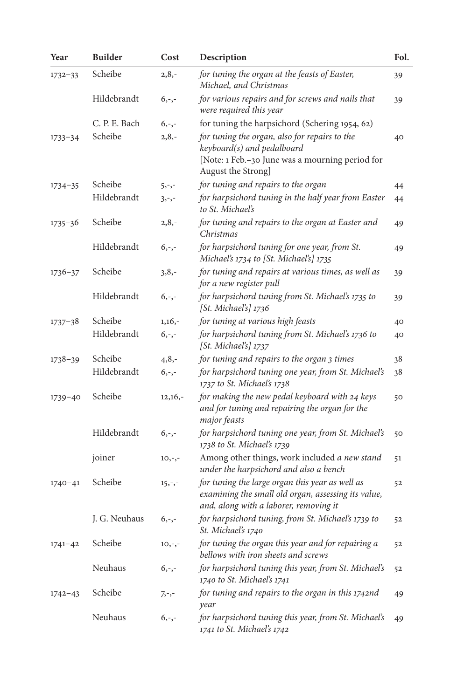| Year        | <b>Builder</b> | Cost      | Description                                                                                                                                          | Fol. |
|-------------|----------------|-----------|------------------------------------------------------------------------------------------------------------------------------------------------------|------|
| $1732 - 33$ | Scheibe        | $2,8,-$   | for tuning the organ at the feasts of Easter,<br>Michael, and Christmas                                                                              | 39   |
|             | Hildebrandt    | $6, -,-$  | for various repairs and for screws and nails that<br>were required this year                                                                         | 39   |
|             | C. P. E. Bach  | $6, -,-$  | for tuning the harpsichord (Schering 1954, 62)                                                                                                       |      |
| $1733 - 34$ | Scheibe        | $2, 8, -$ | for tuning the organ, also for repairs to the<br>keyboard(s) and pedalboard<br>[Note: 1 Feb.-30 June was a mourning period for<br>August the Strong] | 40   |
| $1734 - 35$ | Scheibe        | $5, -,-$  | for tuning and repairs to the organ                                                                                                                  | 44   |
|             | Hildebrandt    | $3, -,-$  | for harpsichord tuning in the half year from Easter<br>to St. Michael's                                                                              | 44   |
| $1735 - 36$ | Scheibe        | $2,8,-$   | for tuning and repairs to the organ at Easter and<br>Christmas                                                                                       | 49   |
|             | Hildebrandt    | $6, -,-$  | for harpsichord tuning for one year, from St.<br>Michael's 1734 to [St. Michael's] 1735                                                              | 49   |
| $1736 - 37$ | Scheibe        | $3,8,-$   | for tuning and repairs at various times, as well as<br>for a new register pull                                                                       | 39   |
|             | Hildebrandt    | $6, -,-$  | for harpsichord tuning from St. Michael's 1735 to<br>[St. Michael's] 1736                                                                            | 39   |
| $1737 - 38$ | Scheibe        | $1,16,-$  | for tuning at various high feasts                                                                                                                    | 40   |
|             | Hildebrandt    | $6, -,-$  | for harpsichord tuning from St. Michael's 1736 to<br>[St. Michael's] 1737                                                                            | 40   |
| $1738 - 39$ | Scheibe        | $4, 8, -$ | for tuning and repairs to the organ 3 times                                                                                                          | 38   |
|             | Hildebrandt    | $6, -,-$  | for harpsichord tuning one year, from St. Michael's<br>1737 to St. Michael's 1738                                                                    | 38   |
| $1739 - 40$ | Scheibe        | $12,16,-$ | for making the new pedal keyboard with 24 keys<br>and for tuning and repairing the organ for the<br>major feasts                                     | 50   |
|             | Hildebrandt    | $6, -,-$  | for harpsichord tuning one year, from St. Michael's<br>1738 to St. Michael's 1739                                                                    | 50   |
|             | joiner         | $10, -,-$ | Among other things, work included a new stand<br>under the harpsichord and also a bench                                                              | 51   |
| $1740 - 41$ | Scheibe        | $15, -,-$ | for tuning the large organ this year as well as<br>examining the small old organ, assessing its value,<br>and, along with a laborer, removing it     | 52   |
|             | J. G. Neuhaus  | $6, -,-$  | for harpsichord tuning, from St. Michael's 1739 to<br>St. Michael's 1740                                                                             | 52   |
| $1741 - 42$ | Scheibe        | $10, -,-$ | for tuning the organ this year and for repairing a<br>bellows with iron sheets and screws                                                            | 52   |
|             | Neuhaus        | $6, -,-$  | for harpsichord tuning this year, from St. Michael's<br>1740 to St. Michael's 1741                                                                   | 52   |
| $1742 - 43$ | Scheibe        | $7, -,-$  | for tuning and repairs to the organ in this 1742nd<br>year                                                                                           | 49   |
|             | Neuhaus        | $6, -,-$  | for harpsichord tuning this year, from St. Michael's<br>1741 to St. Michael's 1742                                                                   | 49   |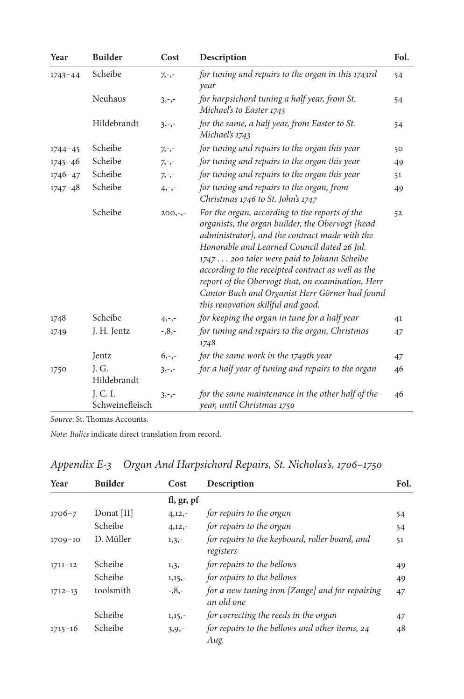| Year        | <b>Builder</b>              | Cost      | Description                                                                                                                                                                                                                                                                                                                                                                                                                                          | Fol. |
|-------------|-----------------------------|-----------|------------------------------------------------------------------------------------------------------------------------------------------------------------------------------------------------------------------------------------------------------------------------------------------------------------------------------------------------------------------------------------------------------------------------------------------------------|------|
| $1743 - 44$ | Scheibe                     | $7, -,-$  | for tuning and repairs to the organ in this 1743rd<br>year                                                                                                                                                                                                                                                                                                                                                                                           | 54   |
|             | Neuhaus                     | $3, -,-$  | for harpsichord tuning a half year, from St.<br>Michael's to Easter 1743                                                                                                                                                                                                                                                                                                                                                                             | 54   |
|             | Hildebrandt                 | $3, -,-$  | for the same, a half year, from Easter to St.<br>Michael's 1743                                                                                                                                                                                                                                                                                                                                                                                      | 54   |
| $1744 - 45$ | Scheibe                     | $7, -,-$  | for tuning and repairs to the organ this year                                                                                                                                                                                                                                                                                                                                                                                                        | 50   |
| $1745 - 46$ | Scheibe                     | $7, -,-$  | for tuning and repairs to the organ this year                                                                                                                                                                                                                                                                                                                                                                                                        | 49   |
| $1746 - 47$ | Scheibe                     | $7, -,-$  | for tuning and repairs to the organ this year                                                                                                                                                                                                                                                                                                                                                                                                        | 51   |
| $1747 - 48$ | Scheibe                     | $4, -,-$  | for tuning and repairs to the organ, from<br>Christmas 1746 to St. John's 1747                                                                                                                                                                                                                                                                                                                                                                       | 49   |
|             | Scheibe                     | $200,-,-$ | For the organ, according to the reports of the<br>organists, the organ builder, the Obervogt [head<br>administrator], and the contract made with the<br>Honorable and Learned Council dated 26 Jul.<br>1747 200 taler were paid to Johann Scheibe<br>according to the receipted contract as well as the<br>report of the Obervogt that, on examination, Herr<br>Cantor Bach and Organist Herr Görner had found<br>this renovation skillful and good. | 52   |
| 1748        | Scheibe                     | $4, -,-$  | for keeping the organ in tune for a half year                                                                                                                                                                                                                                                                                                                                                                                                        | 41   |
| 1749        | J. H. Jentz                 | $-0.8,-$  | for tuning and repairs to the organ, Christmas<br>1748                                                                                                                                                                                                                                                                                                                                                                                               | 47   |
|             | Jentz                       | $6, -,-$  | for the same work in the 1749th year                                                                                                                                                                                                                                                                                                                                                                                                                 | 47   |
| 1750        | J.G.<br>Hildebrandt         | $3, -,-$  | for a half year of tuning and repairs to the organ                                                                                                                                                                                                                                                                                                                                                                                                   | 46   |
|             | I. C. I.<br>Schweinefleisch | $3, -,-$  | for the same maintenance in the other half of the<br>year, until Christmas 1750                                                                                                                                                                                                                                                                                                                                                                      | 46   |

*Source*: St. Thomas Accounts.

|  |  |  | Appendix E-3 Organ And Harpsichord Repairs, St. Nicholas's, 1706–1750 |
|--|--|--|-----------------------------------------------------------------------|
|--|--|--|-----------------------------------------------------------------------|

| Year        | <b>Builder</b> | Cost         | Description                                                   | Fol. |
|-------------|----------------|--------------|---------------------------------------------------------------|------|
|             |                | fl, gr, $pf$ |                                                               |      |
| $1706 - 7$  | Donat [II]     | $4,12,-$     | for repairs to the organ                                      | 54   |
|             | Scheibe        | $4,12,-$     | for repairs to the organ                                      | 54   |
| $1709 - 10$ | D. Müller      | $1,3,-$      | for repairs to the keyboard, roller board, and<br>registers   | 51   |
| $1711 - 12$ | Scheibe        | $1,3,-$      | for repairs to the bellows                                    | 49   |
|             | Scheibe        | $1,15,-$     | for repairs to the bellows                                    | 49   |
| $1712 - 13$ | toolsmith      | $-0.8,-$     | for a new tuning iron [Zange] and for repairing<br>an old one | 47   |
|             | Scheibe        | $1,15,-$     | for correcting the reeds in the organ                         | 47   |
| $1715 - 16$ | Scheibe        | $3, 9, -$    | for repairs to the bellows and other items, 24<br>Aug.        | 48   |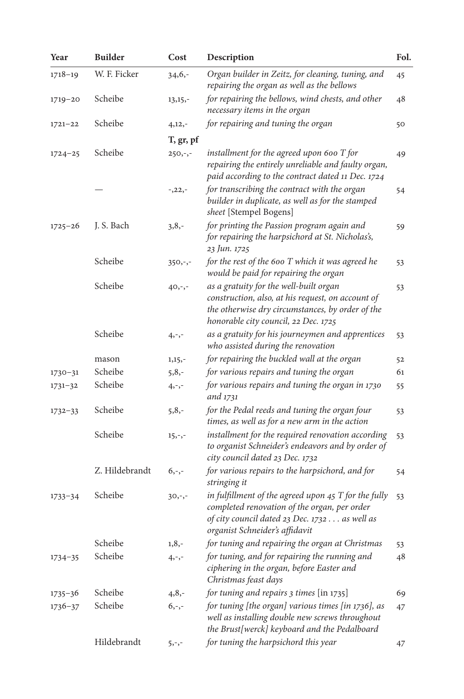| Year        | <b>Builder</b> | Cost        | Description                                                                                                                                                                               | Fol. |
|-------------|----------------|-------------|-------------------------------------------------------------------------------------------------------------------------------------------------------------------------------------------|------|
| $1718 - 19$ | W. F. Ficker   | $34,6,-$    | Organ builder in Zeitz, for cleaning, tuning, and<br>repairing the organ as well as the bellows                                                                                           | 45   |
| $1719 - 20$ | Scheibe        | $13, 15, -$ | for repairing the bellows, wind chests, and other<br>necessary items in the organ                                                                                                         | 48   |
| $1721 - 22$ | Scheibe        | $4,12,-$    | for repairing and tuning the organ                                                                                                                                                        | 50   |
|             |                | T, gr, pf   |                                                                                                                                                                                           |      |
| $1724 - 25$ | Scheibe        | $250,-,-$   | installment for the agreed upon 600 T for<br>repairing the entirely unreliable and faulty organ,<br>paid according to the contract dated 11 Dec. 1724                                     | 49   |
|             |                | $-22, -$    | for transcribing the contract with the organ<br>builder in duplicate, as well as for the stamped<br><i>sheet</i> [Stempel Bogens]                                                         | 54   |
| $1725 - 26$ | J. S. Bach     | $3,8,-$     | for printing the Passion program again and<br>for repairing the harpsichord at St. Nicholas's,<br>23 Jun. 1725                                                                            | 59   |
|             | Scheibe        | $350,-,-$   | for the rest of the 600 T which it was agreed he<br>would be paid for repairing the organ                                                                                                 | 53   |
|             | Scheibe        | $40, -,-$   | as a gratuity for the well-built organ<br>construction, also, at his request, on account of<br>the otherwise dry circumstances, by order of the<br>honorable city council, 22 Dec. 1725   | 53   |
|             | Scheibe        | $4, -,-$    | as a gratuity for his journeymen and apprentices<br>who assisted during the renovation                                                                                                    | 53   |
|             | mason          | $1,15,-$    | for repairing the buckled wall at the organ                                                                                                                                               | 52   |
| $1730 - 31$ | Scheibe        | $5, 8, -$   | for various repairs and tuning the organ                                                                                                                                                  | 61   |
| $1731 - 32$ | Scheibe        | $4, -,-$    | for various repairs and tuning the organ in 1730<br>and 1731                                                                                                                              | 55   |
| $1732 - 33$ | Scheibe        | $5,8,-$     | for the Pedal reeds and tuning the organ four<br>times, as well as for a new arm in the action                                                                                            | 53   |
|             | Scheibe        | $15, -,-$   | installment for the required renovation according<br>to organist Schneider's endeavors and by order of<br>city council dated 23 Dec. 1732                                                 | 53   |
|             | Z. Hildebrandt | $6, -,-$    | for various repairs to the harpsichord, and for<br>stringing it                                                                                                                           | 54   |
| $1733 - 34$ | Scheibe        | $30,-,-$    | in fulfillment of the agreed upon $45$ T for the fully<br>completed renovation of the organ, per order<br>of city council dated 23 Dec. 1732 as well as<br>organist Schneider's affidavit | 53   |
|             | Scheibe        | $1, 8, -$   | for tuning and repairing the organ at Christmas                                                                                                                                           | 53   |
| $1734 - 35$ | Scheibe        | $4, -,-$    | for tuning, and for repairing the running and<br>ciphering in the organ, before Easter and<br>Christmas feast days                                                                        | 48   |
| $1735 - 36$ | Scheibe        | $4,8,-$     | for tuning and repairs 3 times [in 1735]                                                                                                                                                  | 69   |
| $1736 - 37$ | Scheibe        | $6, -,-$    | for tuning [the organ] various times [in 1736], as<br>well as installing double new screws throughout<br>the Brust[werck] keyboard and the Pedalboard                                     | 47   |
|             | Hildebrandt    | $5, -,-$    | for tuning the harpsichord this year                                                                                                                                                      | 47   |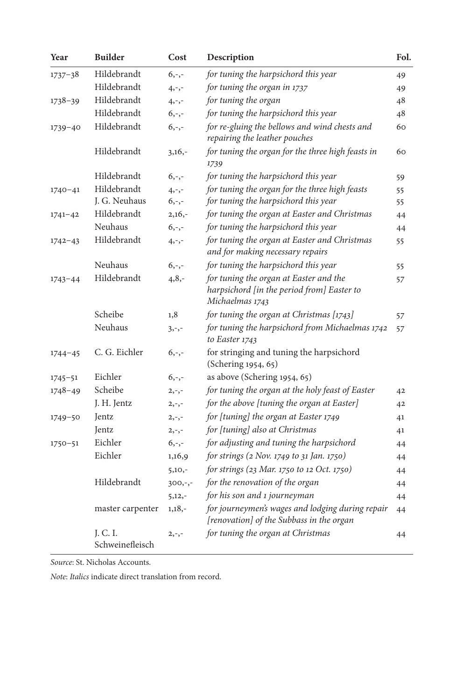| Year        | <b>Builder</b>              | Cost      | Description                                                                                             | Fol. |
|-------------|-----------------------------|-----------|---------------------------------------------------------------------------------------------------------|------|
| $1737 - 38$ | Hildebrandt                 | $6, -,-$  | for tuning the harpsichord this year                                                                    | 49   |
|             | Hildebrandt                 | $4, -,-$  | for tuning the organ in 1737                                                                            | 49   |
| $1738 - 39$ | Hildebrandt                 | $4, -,-$  | for tuning the organ                                                                                    | 48   |
|             | Hildebrandt                 | $6, -,-$  | for tuning the harpsichord this year                                                                    | 48   |
| $1739 - 40$ | Hildebrandt                 | $6, -,-$  | for re-gluing the bellows and wind chests and<br>repairing the leather pouches                          | 60   |
|             | Hildebrandt                 | $3,16,-$  | for tuning the organ for the three high feasts in<br>1739                                               | 60   |
|             | Hildebrandt                 | $6, -,-$  | for tuning the harpsichord this year                                                                    | 59   |
| $1740 - 41$ | Hildebrandt                 | $4, -,-$  | for tuning the organ for the three high feasts                                                          | 55   |
|             | J. G. Neuhaus               | $6, -,-$  | for tuning the harpsichord this year                                                                    | 55   |
| $1741 - 42$ | Hildebrandt                 | $2,16,-$  | for tuning the organ at Easter and Christmas                                                            | 44   |
|             | Neuhaus                     | $6, -,-$  | for tuning the harpsichord this year                                                                    | 44   |
| $1742 - 43$ | Hildebrandt                 | $4, -,-$  | for tuning the organ at Easter and Christmas<br>and for making necessary repairs                        | 55   |
|             | Neuhaus                     | $6, -,-$  | for tuning the harpsichord this year                                                                    | 55   |
| $1743 - 44$ | Hildebrandt                 | $4, 8, -$ | for tuning the organ at Easter and the<br>harpsichord [in the period from] Easter to<br>Michaelmas 1743 | 57   |
|             | Scheibe                     | 1,8       | for tuning the organ at Christmas [1743]                                                                | 57   |
|             | Neuhaus                     | $3, -,-$  | for tuning the harpsichord from Michaelmas 1742<br>to Easter 1743                                       | 57   |
| $1744 - 45$ | C. G. Eichler               | $6, -,-$  | for stringing and tuning the harpsichord<br>(Schering 1954, 65)                                         |      |
| $1745 - 51$ | Eichler                     | $6, -,-$  | as above (Schering 1954, 65)                                                                            |      |
| $1748 - 49$ | Scheibe                     | $2, -,-$  | for tuning the organ at the holy feast of Easter                                                        | 42   |
|             | J. H. Jentz                 | $2, -,-$  | for the above [tuning the organ at Easter]                                                              | 42   |
| $1749 - 50$ | Jentz                       | $2, -,-$  | for [tuning] the organ at Easter 1749                                                                   | 41   |
|             | Jentz                       | $2, -,-$  | for [tuning] also at Christmas                                                                          | 41   |
| $1750 - 51$ | Eichler                     | $6, -,-$  | for adjusting and tuning the harpsichord                                                                | 44   |
|             | Eichler                     | 1,16,9    | for strings (2 Nov. 1749 to 31 Jan. 1750)                                                               | 44   |
|             |                             | $5,10,-$  | for strings (23 Mar. 1750 to 12 Oct. 1750)                                                              | 44   |
|             | Hildebrandt                 | $300,-,-$ | for the renovation of the organ                                                                         | 44   |
|             |                             | $5,12,-$  | for his son and 1 journeyman                                                                            | 44   |
|             | master carpenter            | $1,18,-$  | for journeymen's wages and lodging during repair<br>[renovation] of the Subbass in the organ            | 44   |
|             | J. C. I.<br>Schweinefleisch | $2, -,-$  | for tuning the organ at Christmas                                                                       | 44   |

*Source*: St. Nicholas Accounts.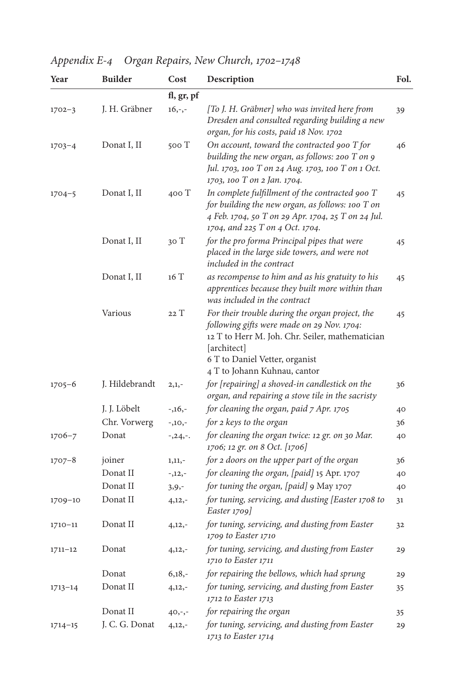*Appendix E-4 Organ Repairs, New Church, 1702–1748*

| Year        | <b>Builder</b> | Cost       | Description                                                                                                                                                                                                                       | Fol. |
|-------------|----------------|------------|-----------------------------------------------------------------------------------------------------------------------------------------------------------------------------------------------------------------------------------|------|
|             |                | fl, gr, pf |                                                                                                                                                                                                                                   |      |
| $1702 - 3$  | J. H. Gräbner  | $16,-,-$   | [To J. H. Gräbner] who was invited here from<br>Dresden and consulted regarding building a new<br>organ, for his costs, paid 18 Nov. 1702                                                                                         | 39   |
| $1703 - 4$  | Donat I, II    | 500 T      | On account, toward the contracted 900 T for<br>building the new organ, as follows: 200 T on 9<br>Jul. 1703, 100 T on 24 Aug. 1703, 100 T on 1 Oct.<br>1703, 100 T on 2 Jan. 1704.                                                 | 46   |
| $1704 - 5$  | Donat I, II    | 400T       | In complete fulfillment of the contracted 900 T<br>for building the new organ, as follows: 100 T on<br>4 Feb. 1704, 50 T on 29 Apr. 1704, 25 T on 24 Jul.<br>1704, and 225 T on 4 Oct. 1704.                                      | 45   |
|             | Donat I, II    | 30 T       | for the pro forma Principal pipes that were<br>placed in the large side towers, and were not<br>included in the contract                                                                                                          | 45   |
|             | Donat I, II    | 16 T       | as recompense to him and as his gratuity to his<br>apprentices because they built more within than<br>was included in the contract                                                                                                | 45   |
|             | Various        | 22T        | For their trouble during the organ project, the<br>following gifts were made on 29 Nov. 1704:<br>12 T to Herr M. Joh. Chr. Seiler, mathematician<br>[architect]<br>6 T to Daniel Vetter, organist<br>4 T to Johann Kuhnau, cantor | 45   |
| $1705 - 6$  | J. Hildebrandt | $2,1,-$    | for [repairing] a shoved-in candlestick on the<br>organ, and repairing a stove tile in the sacristy                                                                                                                               | 36   |
|             | J. J. Löbelt   | $-1,16,-$  | for cleaning the organ, paid 7 Apr. 1705                                                                                                                                                                                          | 40   |
|             | Chr. Vorwerg   | $-10, -$   | for 2 keys to the organ                                                                                                                                                                                                           | 36   |
| $1706 - 7$  | Donat          | $-24.$     | for cleaning the organ twice: 12 gr. on 30 Mar.<br>1706; 12 gr. on 8 Oct. [1706]                                                                                                                                                  | 40   |
| $1707 - 8$  | joiner         | $1,11,-$   | for 2 doors on the upper part of the organ                                                                                                                                                                                        | 36   |
|             | Donat II       | $-12, -$   | for cleaning the organ, [paid] 15 Apr. 1707                                                                                                                                                                                       | 40   |
|             | Donat II       | $3, 9, -$  | for tuning the organ, [paid] 9 May 1707                                                                                                                                                                                           | 40   |
| 1709-10     | Donat II       | $4,12,-$   | for tuning, servicing, and dusting [Easter 1708 to<br>Easter $1709$                                                                                                                                                               | 31   |
| $1710 - 11$ | Donat II       | $4,12,-$   | for tuning, servicing, and dusting from Easter<br>1709 to Easter 1710                                                                                                                                                             | 32   |
| $1711 - 12$ | Donat          | $4,12,-$   | for tuning, servicing, and dusting from Easter<br>1710 to Easter 1711                                                                                                                                                             | 29   |
|             | Donat          | $6,18,-$   | for repairing the bellows, which had sprung                                                                                                                                                                                       | 29   |
| $1713 - 14$ | Donat II       | $4,12,-$   | for tuning, servicing, and dusting from Easter<br>1712 to Easter 1713                                                                                                                                                             | 35   |
|             | Donat II       | $40, -,-$  | for repairing the organ                                                                                                                                                                                                           | 35   |
| $1714 - 15$ | J. C. G. Donat | $4,12,-$   | for tuning, servicing, and dusting from Easter<br>1713 to Easter 1714                                                                                                                                                             | 29   |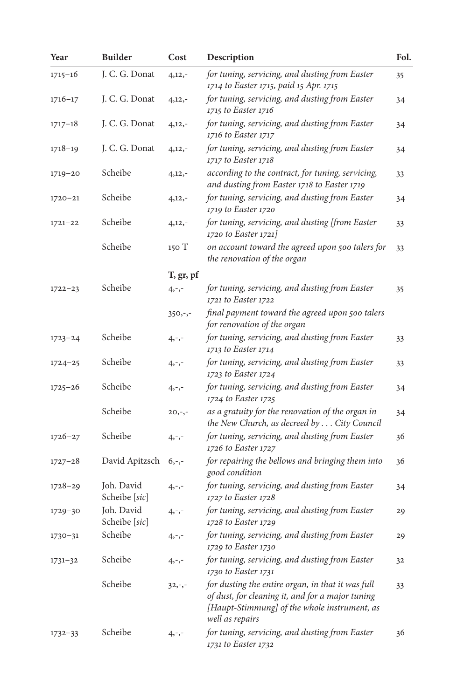| Year        | <b>Builder</b>              | Cost      | Description                                                                                                                                                              | Fol. |
|-------------|-----------------------------|-----------|--------------------------------------------------------------------------------------------------------------------------------------------------------------------------|------|
| $1715 - 16$ | J. C. G. Donat              | $4,12,-$  | for tuning, servicing, and dusting from Easter<br>1714 to Easter 1715, paid 15 Apr. 1715                                                                                 | 35   |
| $1716 - 17$ | J. C. G. Donat              | $4,12,-$  | for tuning, servicing, and dusting from Easter<br>1715 to Easter 1716                                                                                                    | 34   |
| $1717 - 18$ | J. C. G. Donat              | $4,12,-$  | for tuning, servicing, and dusting from Easter<br>1716 to Easter 1717                                                                                                    | 34   |
| $1718 - 19$ | J. C. G. Donat              | $4,12,-$  | for tuning, servicing, and dusting from Easter<br>1717 to Easter 1718                                                                                                    | 34   |
| $1719 - 20$ | Scheibe                     | $4,12,-$  | according to the contract, for tuning, servicing,<br>and dusting from Easter 1718 to Easter 1719                                                                         | 33   |
| $1720 - 21$ | Scheibe                     | $4,12,-$  | for tuning, servicing, and dusting from Easter<br>1719 to Easter 1720                                                                                                    | 34   |
| $1721 - 22$ | Scheibe                     | $4,12,-$  | for tuning, servicing, and dusting [from Easter<br>1720 to Easter 1721]                                                                                                  | 33   |
|             | Scheibe                     | 150 T     | on account toward the agreed upon 500 talers for<br>the renovation of the organ                                                                                          | 33   |
|             |                             | T, gr, pf |                                                                                                                                                                          |      |
| $1722 - 23$ | Scheibe                     | $4, -,-$  | for tuning, servicing, and dusting from Easter<br>1721 to Easter 1722                                                                                                    | 35   |
|             |                             | $350,-,-$ | final payment toward the agreed upon 500 talers<br>for renovation of the organ                                                                                           |      |
| $1723 - 24$ | Scheibe                     | $4, -,-$  | for tuning, servicing, and dusting from Easter<br>1713 to Easter 1714                                                                                                    | 33   |
| $1724 - 25$ | Scheibe                     | $4, -,-$  | for tuning, servicing, and dusting from Easter<br>1723 to Easter 1724                                                                                                    | 33   |
| $1725 - 26$ | Scheibe                     | $4, -,-$  | for tuning, servicing, and dusting from Easter<br>1724 to Easter 1725                                                                                                    | 34   |
|             | Scheibe                     | $20, -,-$ | as a gratuity for the renovation of the organ in<br>the New Church, as decreed by City Council                                                                           | 34   |
| $1726 - 27$ | Scheibe                     | $4, -,-$  | for tuning, servicing, and dusting from Easter<br>1726 to Easter 1727                                                                                                    | 36   |
| $1727 - 28$ | David Apitzsch              | $6, -,-$  | for repairing the bellows and bringing them into<br>good condition                                                                                                       | 36   |
| $1728 - 29$ | Joh. David<br>Scheibe [sic] | $4, -,-$  | for tuning, servicing, and dusting from Easter<br>1727 to Easter 1728                                                                                                    | 34   |
| $1729 - 30$ | Joh. David<br>Scheibe [sic] | $4, -,-$  | for tuning, servicing, and dusting from Easter<br>1728 to Easter 1729                                                                                                    | 29   |
| $1730 - 31$ | Scheibe                     | $4, -,-$  | for tuning, servicing, and dusting from Easter<br>1729 to Easter 1730                                                                                                    | 29   |
| $1731 - 32$ | Scheibe                     | $4, -,-$  | for tuning, servicing, and dusting from Easter<br>1730 to Easter 1731                                                                                                    | 32   |
|             | Scheibe                     | $32,-,-$  | for dusting the entire organ, in that it was full<br>of dust, for cleaning it, and for a major tuning<br>[Haupt-Stimmung] of the whole instrument, as<br>well as repairs | 33   |
| $1732 - 33$ | Scheibe                     | $4, -,-$  | for tuning, servicing, and dusting from Easter<br>1731 to Easter 1732                                                                                                    | 36   |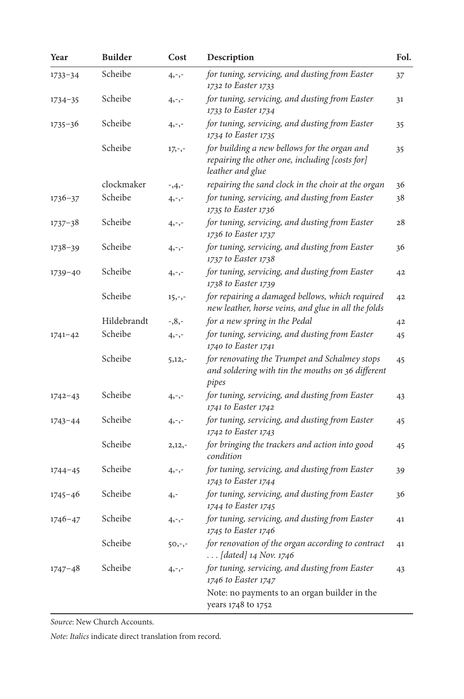| Year        | <b>Builder</b> | Cost      | Description                                                                                                        | Fol. |
|-------------|----------------|-----------|--------------------------------------------------------------------------------------------------------------------|------|
| $1733 - 34$ | Scheibe        | $4, -,-$  | for tuning, servicing, and dusting from Easter<br>1732 to Easter 1733                                              | 37   |
| $1734 - 35$ | Scheibe        | $4, -,-$  | for tuning, servicing, and dusting from Easter<br>1733 to Easter 1734                                              | 31   |
| $1735 - 36$ | Scheibe        | $4, -,-$  | for tuning, servicing, and dusting from Easter<br>1734 to Easter 1735                                              | 35   |
|             | Scheibe        | $17,-,-$  | for building a new bellows for the organ and<br>repairing the other one, including [costs for]<br>leather and glue | 35   |
|             | clockmaker     | $-3,4,-$  | repairing the sand clock in the choir at the organ                                                                 | 36   |
| $1736 - 37$ | Scheibe        | $4, -,-$  | for tuning, servicing, and dusting from Easter<br>1735 to Easter 1736                                              | 38   |
| $1737 - 38$ | Scheibe        | $4, -,-$  | for tuning, servicing, and dusting from Easter<br>1736 to Easter 1737                                              | 28   |
| $1738 - 39$ | Scheibe        | $4, -,-$  | for tuning, servicing, and dusting from Easter<br>1737 to Easter 1738                                              | 36   |
| $1739 - 40$ | Scheibe        | $4, -,-$  | for tuning, servicing, and dusting from Easter<br>1738 to Easter 1739                                              | 42   |
|             | Scheibe        | $15, -,-$ | for repairing a damaged bellows, which required<br>new leather, horse veins, and glue in all the folds             | 42   |
|             | Hildebrandt    | $-0.8,-$  | for a new spring in the Pedal                                                                                      | 42   |
| $1741 - 42$ | Scheibe        | $4, -,-$  | for tuning, servicing, and dusting from Easter<br>1740 to Easter 1741                                              | 45   |
|             | Scheibe        | $5,12,-$  | for renovating the Trumpet and Schalmey stops<br>and soldering with tin the mouths on 36 different<br>pipes        | 45   |
| $1742 - 43$ | Scheibe        | $4, -,-$  | for tuning, servicing, and dusting from Easter<br>1741 to Easter 1742                                              | 43   |
| $1743 - 44$ | Scheibe        | $4, -,-$  | for tuning, servicing, and dusting from Easter<br>1742 to Easter 1743                                              | 45   |
|             | Scheibe        | $2,12,-$  | for bringing the trackers and action into good<br>condition                                                        | 45   |
| $1744 - 45$ | Scheibe        | $4, -,-$  | for tuning, servicing, and dusting from Easter<br>1743 to Easter 1744                                              | 39   |
| $1745 - 46$ | Scheibe        | $4, -$    | for tuning, servicing, and dusting from Easter<br>1744 to Easter 1745                                              | 36   |
| $1746 - 47$ | Scheibe        | 4,-,-     | for tuning, servicing, and dusting from Easter<br>1745 to Easter 1746                                              | 41   |
|             | Scheibe        | $50,-,-$  | for renovation of the organ according to contract<br><i>[dated]</i> 14 Nov. 1746                                   | 41   |
| $1747 - 48$ | Scheibe        | $4, -,-$  | for tuning, servicing, and dusting from Easter<br>1746 to Easter 1747                                              | 43   |
|             |                |           | Note: no payments to an organ builder in the<br>years 1748 to 1752                                                 |      |

*Source*: New Church Accounts.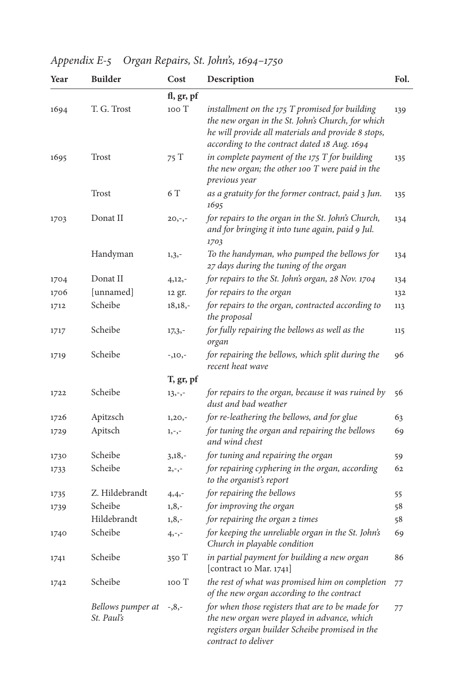|  |  | Appendix E-5 Organ Repairs, St. John's, 1694-1750 |
|--|--|---------------------------------------------------|
|--|--|---------------------------------------------------|

| Year | <b>Builder</b>                  | Cost       | Description                                                                                                                                                                                               | Fol. |
|------|---------------------------------|------------|-----------------------------------------------------------------------------------------------------------------------------------------------------------------------------------------------------------|------|
|      |                                 | fl, gr, pf |                                                                                                                                                                                                           |      |
| 1694 | T. G. Trost                     | 100 T      | installment on the 175 T promised for building<br>the new organ in the St. John's Church, for which<br>he will provide all materials and provide 8 stops,<br>according to the contract dated 18 Aug. 1694 | 139  |
| 1695 | Trost                           | 75T        | in complete payment of the $175$ T for building<br>the new organ; the other 100 T were paid in the<br>previous year                                                                                       | 135  |
|      | <b>Trost</b>                    | 6 T        | as a gratuity for the former contract, paid 3 Jun.<br>1695                                                                                                                                                | 135  |
| 1703 | Donat II                        | $20, -,-$  | for repairs to the organ in the St. John's Church,<br>and for bringing it into tune again, paid 9 Jul.<br>1703                                                                                            | 134  |
|      | Handyman                        | $1, 3, -$  | To the handyman, who pumped the bellows for<br>27 days during the tuning of the organ                                                                                                                     | 134  |
| 1704 | Donat II                        | $4,12,-$   | for repairs to the St. John's organ, 28 Nov. 1704                                                                                                                                                         | 134  |
| 1706 | [unnamed]                       | 12 gr.     | for repairs to the organ                                                                                                                                                                                  | 132  |
| 1712 | Scheibe                         | $18,18,-$  | for repairs to the organ, contracted according to<br>the proposal                                                                                                                                         | 113  |
| 1717 | Scheibe                         | $17,3,-$   | for fully repairing the bellows as well as the<br>organ                                                                                                                                                   | 115  |
| 1719 | Scheibe                         | $-10, -$   | for repairing the bellows, which split during the<br>recent heat wave                                                                                                                                     | 96   |
|      |                                 | T, gr, pf  |                                                                                                                                                                                                           |      |
| 1722 | Scheibe                         | $13, -,-$  | for repairs to the organ, because it was ruined by<br>dust and bad weather                                                                                                                                | 56   |
| 1726 | Apitzsch                        | $1,20,-$   | for re-leathering the bellows, and for glue                                                                                                                                                               | 63   |
| 1729 | Apitsch                         | $1, -,-$   | for tuning the organ and repairing the bellows<br>and wind chest                                                                                                                                          | 69   |
| 1730 | Scheibe                         | $3,18,-$   | for tuning and repairing the organ                                                                                                                                                                        | 59   |
| 1733 | Scheibe                         | $2, -,-$   | for repairing cyphering in the organ, according<br>to the organist's report                                                                                                                               | 62   |
| 1735 | Z. Hildebrandt                  | $4,4,-$    | for repairing the bellows                                                                                                                                                                                 | 55   |
| 1739 | Scheibe                         | $1, 8, -$  | for improving the organ                                                                                                                                                                                   | 58   |
|      | Hildebrandt                     | $1, 8, -$  | for repairing the organ 2 times                                                                                                                                                                           | 58   |
| 1740 | Scheibe                         | $4, -,-$   | for keeping the unreliable organ in the St. John's<br>Church in playable condition                                                                                                                        | 69   |
| 1741 | Scheibe                         | 350T       | in partial payment for building a new organ<br>[contract 10 Mar. 1741]                                                                                                                                    | 86   |
| 1742 | Scheibe                         | 100 T      | the rest of what was promised him on completion<br>of the new organ according to the contract                                                                                                             | 77   |
|      | Bellows pumper at<br>St. Paul's | $-0.8,-$   | for when those registers that are to be made for<br>the new organ were played in advance, which<br>registers organ builder Scheibe promised in the<br>contract to deliver                                 | 77   |